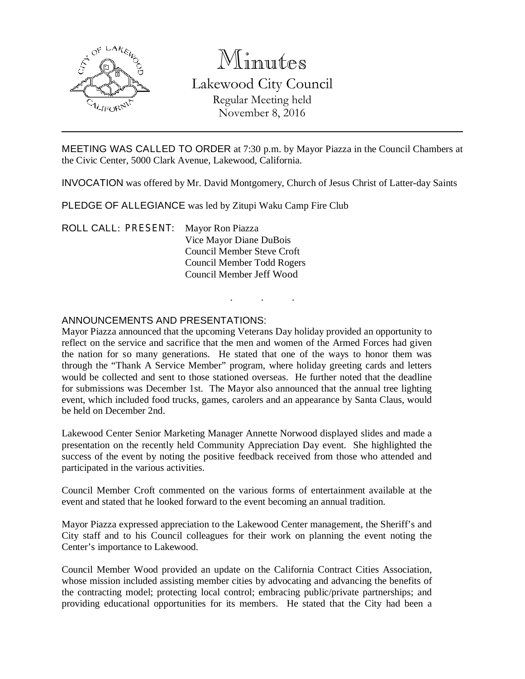

# Minutes Lakewood City Council Regular Meeting held November 8, 2016

MEETING WAS CALLED TO ORDER at 7:30 p.m. by Mayor Piazza in the Council Chambers at the Civic Center, 5000 Clark Avenue, Lakewood, California.

INVOCATION was offered by Mr. David Montgomery, Church of Jesus Christ of Latter-day Saints

. . .

PLEDGE OF ALLEGIANCE was led by Zitupi Waku Camp Fire Club

ROLL CALL: PRESENT: Mayor Ron Piazza Vice Mayor Diane DuBois Council Member Steve Croft Council Member Todd Rogers Council Member Jeff Wood

## ANNOUNCEMENTS AND PRESENTATIONS:

Mayor Piazza announced that the upcoming Veterans Day holiday provided an opportunity to reflect on the service and sacrifice that the men and women of the Armed Forces had given the nation for so many generations. He stated that one of the ways to honor them was through the "Thank A Service Member" program, where holiday greeting cards and letters would be collected and sent to those stationed overseas. He further noted that the deadline for submissions was December 1st. The Mayor also announced that the annual tree lighting event, which included food trucks, games, carolers and an appearance by Santa Claus, would be held on December 2nd.

Lakewood Center Senior Marketing Manager Annette Norwood displayed slides and made a presentation on the recently held Community Appreciation Day event. She highlighted the success of the event by noting the positive feedback received from those who attended and participated in the various activities.

Council Member Croft commented on the various forms of entertainment available at the event and stated that he looked forward to the event becoming an annual tradition.

Mayor Piazza expressed appreciation to the Lakewood Center management, the Sheriff's and City staff and to his Council colleagues for their work on planning the event noting the Center's importance to Lakewood.

Council Member Wood provided an update on the California Contract Cities Association, whose mission included assisting member cities by advocating and advancing the benefits of the contracting model; protecting local control; embracing public/private partnerships; and providing educational opportunities for its members. He stated that the City had been a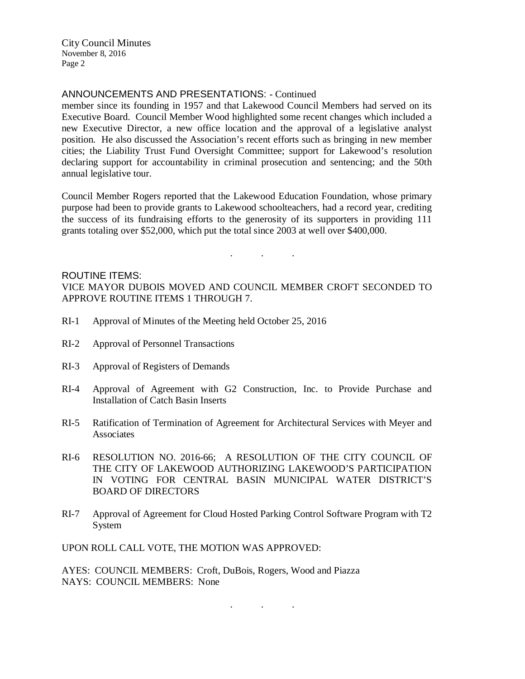City Council Minutes November 8, 2016 Page 2

#### ANNOUNCEMENTS AND PRESENTATIONS: - Continued

member since its founding in 1957 and that Lakewood Council Members had served on its Executive Board. Council Member Wood highlighted some recent changes which included a new Executive Director, a new office location and the approval of a legislative analyst position. He also discussed the Association's recent efforts such as bringing in new member cities; the Liability Trust Fund Oversight Committee; support for Lakewood's resolution declaring support for accountability in criminal prosecution and sentencing; and the 50th annual legislative tour.

Council Member Rogers reported that the Lakewood Education Foundation, whose primary purpose had been to provide grants to Lakewood schoolteachers, had a record year, crediting the success of its fundraising efforts to the generosity of its supporters in providing 111 grants totaling over \$52,000, which put the total since 2003 at well over \$400,000.

#### ROUTINE ITEMS:

VICE MAYOR DUBOIS MOVED AND COUNCIL MEMBER CROFT SECONDED TO APPROVE ROUTINE ITEMS 1 THROUGH 7.

. . .

- RI-1 Approval of Minutes of the Meeting held October 25, 2016
- RI-2 Approval of Personnel Transactions
- RI-3 Approval of Registers of Demands
- RI-4 Approval of Agreement with G2 Construction, Inc. to Provide Purchase and Installation of Catch Basin Inserts
- RI-5 Ratification of Termination of Agreement for Architectural Services with Meyer and Associates
- RI-6 RESOLUTION NO. 2016-66; A RESOLUTION OF THE CITY COUNCIL OF THE CITY OF LAKEWOOD AUTHORIZING LAKEWOOD'S PARTICIPATION IN VOTING FOR CENTRAL BASIN MUNICIPAL WATER DISTRICT'S BOARD OF DIRECTORS
- RI-7 Approval of Agreement for Cloud Hosted Parking Control Software Program with T2 System

UPON ROLL CALL VOTE, THE MOTION WAS APPROVED:

AYES: COUNCIL MEMBERS: Croft, DuBois, Rogers, Wood and Piazza NAYS: COUNCIL MEMBERS: None

. . .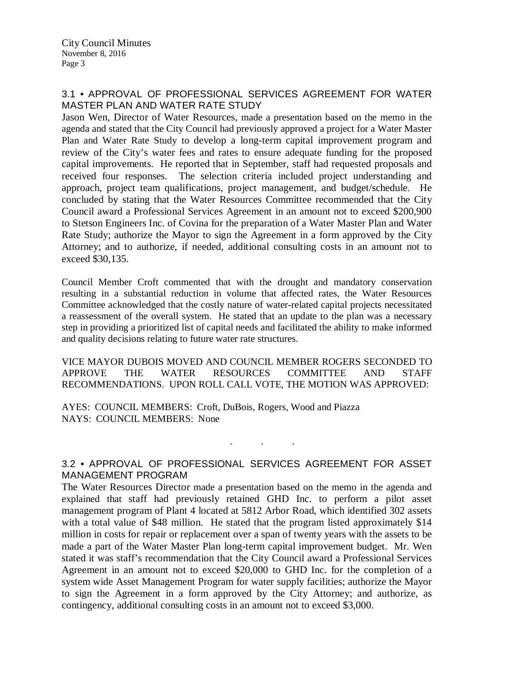# 3.1 • APPROVAL OF PROFESSIONAL SERVICES AGREEMENT FOR WATER MASTER PLAN AND WATER RATE STUDY

Jason Wen, Director of Water Resources, made a presentation based on the memo in the agenda and stated that the City Council had previously approved a project for a Water Master Plan and Water Rate Study to develop a long-term capital improvement program and review of the City's water fees and rates to ensure adequate funding for the proposed capital improvements. He reported that in September, staff had requested proposals and received four responses. The selection criteria included project understanding and approach, project team qualifications, project management, and budget/schedule. He concluded by stating that the Water Resources Committee recommended that the City Council award a Professional Services Agreement in an amount not to exceed \$200,900 to Stetson Engineers Inc. of Covina for the preparation of a Water Master Plan and Water Rate Study; authorize the Mayor to sign the Agreement in a form approved by the City Attorney; and to authorize, if needed, additional consulting costs in an amount not to exceed \$30,135.

Council Member Croft commented that with the drought and mandatory conservation resulting in a substantial reduction in volume that affected rates, the Water Resources Committee acknowledged that the costly nature of water-related capital projects necessitated a reassessment of the overall system. He stated that an update to the plan was a necessary step in providing a prioritized list of capital needs and facilitated the ability to make informed and quality decisions relating to future water rate structures.

VICE MAYOR DUBOIS MOVED AND COUNCIL MEMBER ROGERS SECONDED TO APPROVE THE WATER RESOURCES COMMITTEE AND STAFF RECOMMENDATIONS. UPON ROLL CALL VOTE, THE MOTION WAS APPROVED:

AYES: COUNCIL MEMBERS: Croft, DuBois, Rogers, Wood and Piazza NAYS: COUNCIL MEMBERS: None

## 3.2 • APPROVAL OF PROFESSIONAL SERVICES AGREEMENT FOR ASSET MANAGEMENT PROGRAM

. . .

The Water Resources Director made a presentation based on the memo in the agenda and explained that staff had previously retained GHD Inc. to perform a pilot asset management program of Plant 4 located at 5812 Arbor Road, which identified 302 assets with a total value of \$48 million. He stated that the program listed approximately \$14 million in costs for repair or replacement over a span of twenty years with the assets to be made a part of the Water Master Plan long-term capital improvement budget. Mr. Wen stated it was staff's recommendation that the City Council award a Professional Services Agreement in an amount not to exceed \$20,000 to GHD Inc. for the completion of a system wide Asset Management Program for water supply facilities; authorize the Mayor to sign the Agreement in a form approved by the City Attorney; and authorize, as contingency, additional consulting costs in an amount not to exceed \$3,000.